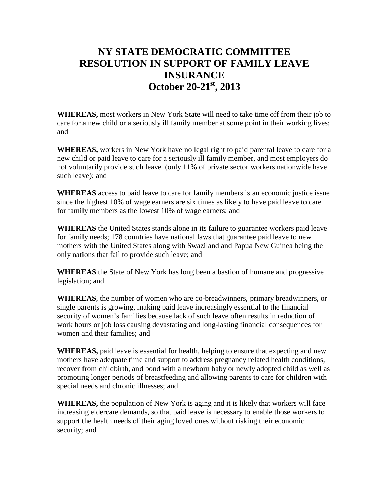## **NY STATE DEMOCRATIC COMMITTEE RESOLUTION IN SUPPORT OF FAMILY LEAVE INSURANCE October 20-21st, 2013**

**WHEREAS,** most workers in New York State will need to take time off from their job to care for a new child or a seriously ill family member at some point in their working lives; and

**WHEREAS,** workers in New York have no legal right to paid parental leave to care for a new child or paid leave to care for a seriously ill family member, and most employers do not voluntarily provide such leave (only 11% of private sector workers nationwide have such leave); and

**WHEREAS** access to paid leave to care for family members is an economic justice issue since the highest 10% of wage earners are six times as likely to have paid leave to care for family members as the lowest 10% of wage earners; and

**WHEREAS** the United States stands alone in its failure to guarantee workers paid leave for family needs; 178 countries have national laws that guarantee paid leave to new mothers with the United States along with Swaziland and Papua New Guinea being the only nations that fail to provide such leave; and

**WHEREAS** the State of New York has long been a bastion of humane and progressive legislation; and

**WHEREAS**, the number of women who are co-breadwinners, primary breadwinners, or single parents is growing, making paid leave increasingly essential to the financial security of women's families because lack of such leave often results in reduction of work hours or job loss causing devastating and long-lasting financial consequences for women and their families; and

**WHEREAS,** paid leave is essential for health, helping to ensure that expecting and new mothers have adequate time and support to address pregnancy related health conditions, recover from childbirth, and bond with a newborn baby or newly adopted child as well as promoting longer periods of breastfeeding and allowing parents to care for children with special needs and chronic illnesses; and

**WHEREAS,** the population of New York is aging and it is likely that workers will face increasing eldercare demands, so that paid leave is necessary to enable those workers to support the health needs of their aging loved ones without risking their economic security; and